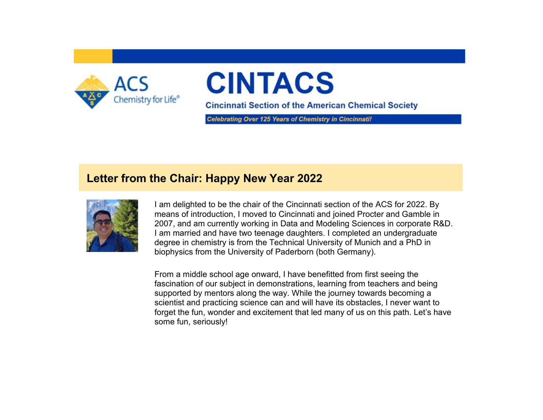

# **CINTACS**

**Cincinnati Section of the American Chemical Society** 

Celebrating Over 125 Years of Chemistry in Cincinnatil

### **Letter from the Chair: Happy New Year 2022**



I am delighted to be the chair of the Cincinnati section of the ACS for 2022. By means of introduction, I moved to Cincinnati and joined Procter and Gamble in 2007, and am currently working in Data and Modeling Sciences in corporate R&D. I am married and have two teenage daughters. I completed an undergraduate degree in chemistry is from the Technical University of Munich and a PhD in biophysics from the University of Paderborn (both Germany).

From a middle school age onward, I have benefitted from first seeing the fascination of our subject in demonstrations, learning from teachers and being supported by mentors along the way. While the journey towards becoming a scientist and practicing science can and will have its obstacles, I never want to forget the fun, wonder and excitement that led many of us on this path. Let's have some fun, seriously!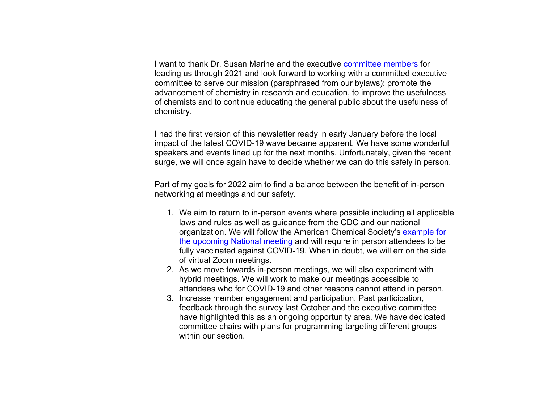I want to thank Dr. Susan Marine and the executive [committee members](https://www.acscincinnati.org/about/about.php) for leading us through 2021 and look forward to working with a committed executive committee to serve our mission (paraphrased from our bylaws): promote the advancement of chemistry in research and education, to improve the usefulness of chemists and to continue educating the general public about the usefulness of chemistry.

I had the first version of this newsletter ready in early January before the local impact of the latest COVID-19 wave became apparent. We have some wonderful speakers and events lined up for the next months. Unfortunately, given the recent surge, we will once again have to decide whether we can do this safely in person.

Part of my goals for 2022 aim to find a balance between the benefit of in-person networking at meetings and our safety.

- 1. We aim to return to in-person events where possible including all applicable laws and rules as well as guidance from the CDC and our national organization. We will follow the American Chemical Society's [example for](https://www.acs.org/content/acs/en/meetings/acs-meetings/registration/attendee-safety-plan.html)  [the upcoming National meeting](https://www.acs.org/content/acs/en/meetings/acs-meetings/registration/attendee-safety-plan.html) and will require in person attendees to be fully vaccinated against COVID-19. When in doubt, we will err on the side of virtual Zoom meetings.
- 2. As we move towards in-person meetings, we will also experiment with hybrid meetings. We will work to make our meetings accessible to attendees who for COVID-19 and other reasons cannot attend in person.
- 3. Increase member engagement and participation. Past participation, feedback through the survey last October and the executive committee have highlighted this as an ongoing opportunity area. We have dedicated committee chairs with plans for programming targeting different groups within our section.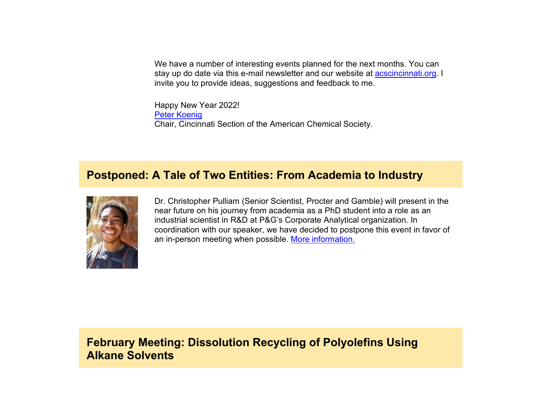We have a number of interesting events planned for the next months. You can stay up do date via this e-mail newsletter and our website at [acscincinnati.org.](http://www.acscincinnati.org/) I invite you to provide ideas, suggestions and feedback to me.

Happy New Year 2022! [Peter Koenig](mailto:chair@acscincinnati.org) Chair, Cincinnati Section of the American Chemical Society.

#### **Postponed: A Tale of Two Entities: From Academia to Industry**



Dr. Christopher Pulliam (Senior Scientist, Procter and Gamble) will present in the near future on his journey from academia as a PhD student into a role as an industrial scientist in R&D at P&G's Corporate Analytical organization. In coordination with our speaker, we have decided to postpone this event in favor of an in-person meeting when possible. [More information.](https://www.acscincinnati.org/meetings/meetings.php?meeting=meeting2022tbd)

**February Meeting: Dissolution Recycling of Polyolefins Using Alkane Solvents**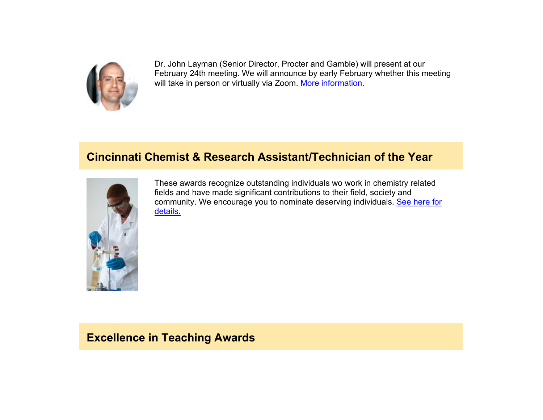

Dr. John Layman (Senior Director, Procter and Gamble) will present at our February 24th meeting. We will announce by early February whether this meeting will take in person or virtually via Zoom. [More information.](https://www.acscincinnati.org/meetings/meetings.php?meeting=meeting20220224)

## **Cincinnati Chemist & Research Assistant/Technician of the Year**



These awards recognize outstanding individuals wo work in chemistry related fields and have made significant contributions to their field, society and community. We encourage you to nominate deserving individuals. [See here for](https://www.acscincinnati.org/main/main.php#chem_award) [details.](https://www.acscincinnati.org/main/main.php#chem_award)

#### **Excellence in Teaching Awards**